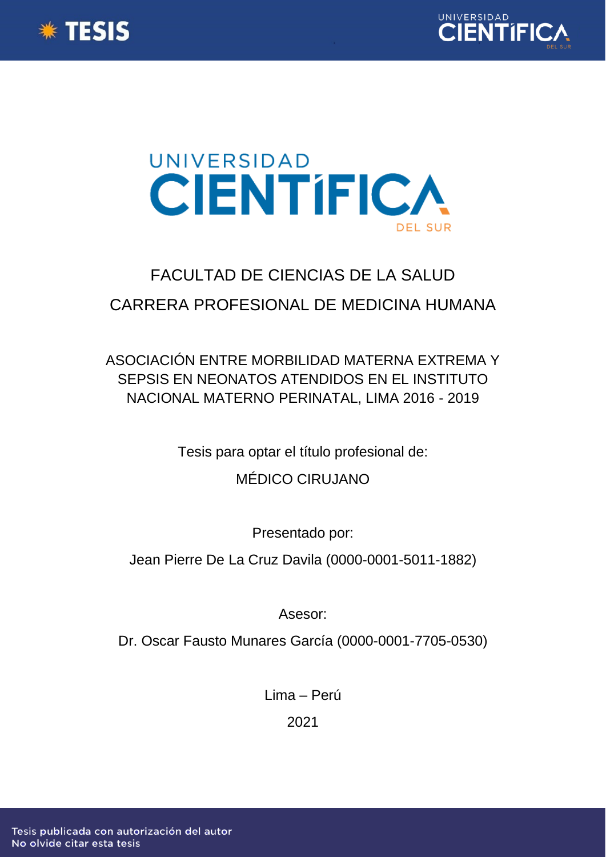





# FACULTAD DE CIENCIAS DE LA SALUD CARRERA PROFESIONAL DE MEDICINA HUMANA

ASOCIACIÓN ENTRE MORBILIDAD MATERNA EXTREMA Y SEPSIS EN NEONATOS ATENDIDOS EN EL INSTITUTO NACIONAL MATERNO PERINATAL, LIMA 2016 - 2019

> Tesis para optar el título profesional de: MÉDICO CIRUJANO

> > Presentado por:

Jean Pierre De La Cruz Davila [\(0000-0001-5011-1882\)](https://orcid.org/0000-0001-5011-1882)

Asesor:

Dr. Oscar Fausto Munares García [\(0000-0001-7705-0530\)](https://orcid.org/0000-0001-7705-0530)

Lima – Perú

2021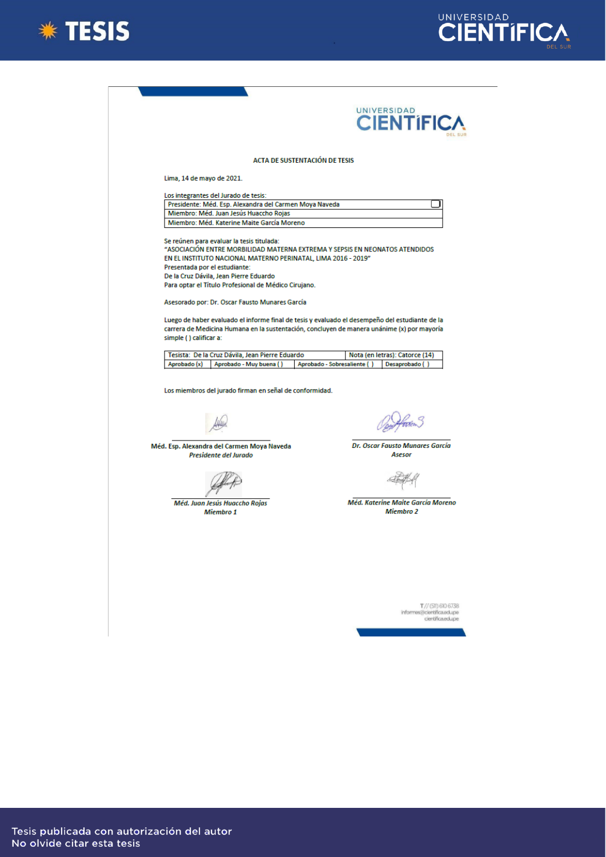



| UNIVERSIDAD<br>ACTA DE SUSTENTACIÓN DE TESIS<br>Lima, 14 de mayo de 2021.<br>Los integrantes del Jurado de tesis:<br>Presidente: Méd. Esp. Alexandra del Carmen Moya Naveda<br>Miembro: Méd. Juan Jesús Huaccho Rojas<br>Miembro: Méd. Katerine Maite García Moreno<br>Se reúnen para evaluar la tesis titulada:<br>"ASOCIACIÓN ENTRE MORBILIDAD MATERNA EXTREMA Y SEPSIS EN NEONATOS ATENDIDOS<br>EN EL INSTITUTO NACIONAL MATERNO PERINATAL, LIMA 2016 - 2019"<br>Presentada por el estudiante:<br>De la Cruz Dávila, Jean Pierre Eduardo<br>Para optar el Título Profesional de Médico Cirujano.<br>Asesorado por: Dr. Oscar Fausto Munares García<br>Luego de haber evaluado el informe final de tesis y evaluado el desempeño del estudiante de la<br>carrera de Medicina Humana en la sustentación, concluyen de manera unánime (x) por mayoría<br>simple () calificar a:<br>Tesista: De la Cruz Dávila, Jean Pierre Eduardo<br>Aprobado - Muy buena ()<br>Desaprobado (<br>Aprobado (x)<br>Aprobado - Sobresaliente ()<br>Los miembros del jurado firman en señal de conformidad.<br>Méd. Esp. Alexandra del Carmen Moya Naveda<br>Presidente del Jurado<br>Asesor<br>Méd. Juan Jesús Huaccho Rojas<br><b>Miembro 2</b><br>Miembro 1 |                                        |
|---------------------------------------------------------------------------------------------------------------------------------------------------------------------------------------------------------------------------------------------------------------------------------------------------------------------------------------------------------------------------------------------------------------------------------------------------------------------------------------------------------------------------------------------------------------------------------------------------------------------------------------------------------------------------------------------------------------------------------------------------------------------------------------------------------------------------------------------------------------------------------------------------------------------------------------------------------------------------------------------------------------------------------------------------------------------------------------------------------------------------------------------------------------------------------------------------------------------------------------------|----------------------------------------|
|                                                                                                                                                                                                                                                                                                                                                                                                                                                                                                                                                                                                                                                                                                                                                                                                                                                                                                                                                                                                                                                                                                                                                                                                                                             | <b>CIENTIFIC</b>                       |
|                                                                                                                                                                                                                                                                                                                                                                                                                                                                                                                                                                                                                                                                                                                                                                                                                                                                                                                                                                                                                                                                                                                                                                                                                                             |                                        |
|                                                                                                                                                                                                                                                                                                                                                                                                                                                                                                                                                                                                                                                                                                                                                                                                                                                                                                                                                                                                                                                                                                                                                                                                                                             |                                        |
|                                                                                                                                                                                                                                                                                                                                                                                                                                                                                                                                                                                                                                                                                                                                                                                                                                                                                                                                                                                                                                                                                                                                                                                                                                             |                                        |
|                                                                                                                                                                                                                                                                                                                                                                                                                                                                                                                                                                                                                                                                                                                                                                                                                                                                                                                                                                                                                                                                                                                                                                                                                                             |                                        |
|                                                                                                                                                                                                                                                                                                                                                                                                                                                                                                                                                                                                                                                                                                                                                                                                                                                                                                                                                                                                                                                                                                                                                                                                                                             |                                        |
|                                                                                                                                                                                                                                                                                                                                                                                                                                                                                                                                                                                                                                                                                                                                                                                                                                                                                                                                                                                                                                                                                                                                                                                                                                             |                                        |
|                                                                                                                                                                                                                                                                                                                                                                                                                                                                                                                                                                                                                                                                                                                                                                                                                                                                                                                                                                                                                                                                                                                                                                                                                                             |                                        |
|                                                                                                                                                                                                                                                                                                                                                                                                                                                                                                                                                                                                                                                                                                                                                                                                                                                                                                                                                                                                                                                                                                                                                                                                                                             |                                        |
|                                                                                                                                                                                                                                                                                                                                                                                                                                                                                                                                                                                                                                                                                                                                                                                                                                                                                                                                                                                                                                                                                                                                                                                                                                             |                                        |
|                                                                                                                                                                                                                                                                                                                                                                                                                                                                                                                                                                                                                                                                                                                                                                                                                                                                                                                                                                                                                                                                                                                                                                                                                                             |                                        |
|                                                                                                                                                                                                                                                                                                                                                                                                                                                                                                                                                                                                                                                                                                                                                                                                                                                                                                                                                                                                                                                                                                                                                                                                                                             | Nota (en letras): Catorce (14)         |
|                                                                                                                                                                                                                                                                                                                                                                                                                                                                                                                                                                                                                                                                                                                                                                                                                                                                                                                                                                                                                                                                                                                                                                                                                                             |                                        |
|                                                                                                                                                                                                                                                                                                                                                                                                                                                                                                                                                                                                                                                                                                                                                                                                                                                                                                                                                                                                                                                                                                                                                                                                                                             |                                        |
|                                                                                                                                                                                                                                                                                                                                                                                                                                                                                                                                                                                                                                                                                                                                                                                                                                                                                                                                                                                                                                                                                                                                                                                                                                             |                                        |
|                                                                                                                                                                                                                                                                                                                                                                                                                                                                                                                                                                                                                                                                                                                                                                                                                                                                                                                                                                                                                                                                                                                                                                                                                                             |                                        |
|                                                                                                                                                                                                                                                                                                                                                                                                                                                                                                                                                                                                                                                                                                                                                                                                                                                                                                                                                                                                                                                                                                                                                                                                                                             |                                        |
|                                                                                                                                                                                                                                                                                                                                                                                                                                                                                                                                                                                                                                                                                                                                                                                                                                                                                                                                                                                                                                                                                                                                                                                                                                             | <b>Dr. Oscar Fausto Munares García</b> |
|                                                                                                                                                                                                                                                                                                                                                                                                                                                                                                                                                                                                                                                                                                                                                                                                                                                                                                                                                                                                                                                                                                                                                                                                                                             | Méd. Katerine Maite García Moreno      |
|                                                                                                                                                                                                                                                                                                                                                                                                                                                                                                                                                                                                                                                                                                                                                                                                                                                                                                                                                                                                                                                                                                                                                                                                                                             |                                        |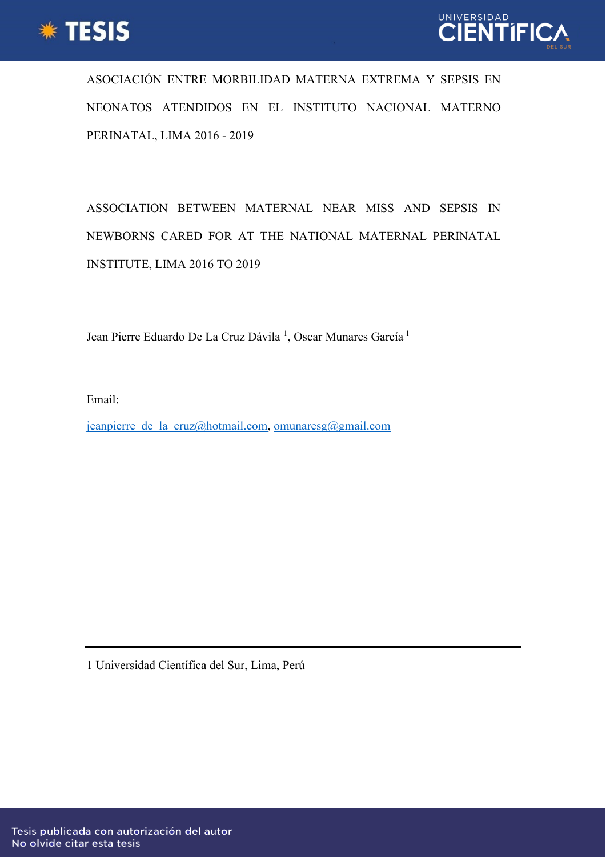



ASOCIACIÓN ENTRE MORBILIDAD MATERNA EXTREMA Y SEPSIS EN NEONATOS ATENDIDOS EN EL INSTITUTO NACIONAL MATERNO PERINATAL, LIMA 2016 - 2019

ASSOCIATION BETWEEN MATERNAL NEAR MISS AND SEPSIS IN NEWBORNS CARED FOR AT THE NATIONAL MATERNAL PERINATAL INSTITUTE, LIMA 2016 TO 2019

Jean Pierre Eduardo De La Cruz Dávila<sup>1</sup>, Oscar Munares García<sup>1</sup>

Email:

jeanpierre de la cruz@hotmail.com, [omunaresg@gmail.com](mailto:omunaresg@gmail.com)

1 Universidad Científica del Sur, Lima, Perú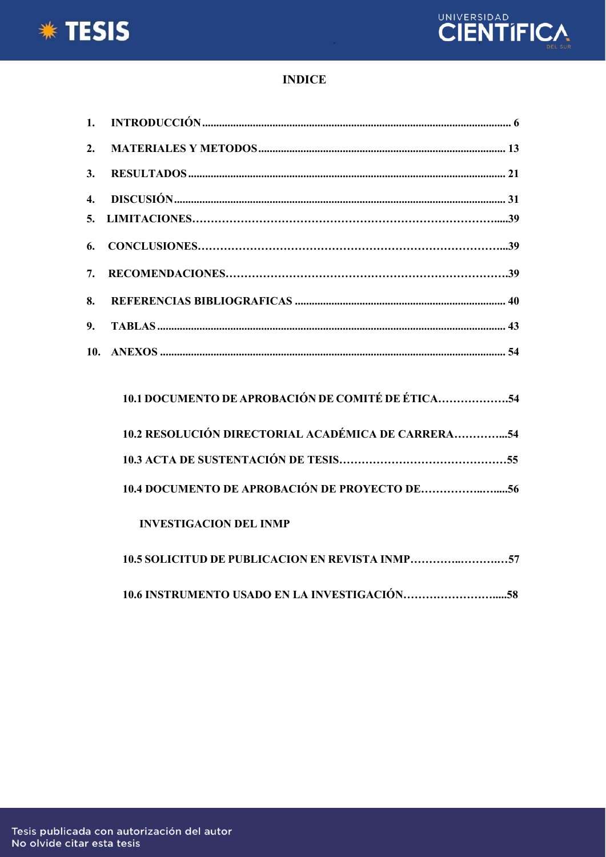



### **INDICE**

| 3.               |                                                      |  |
|------------------|------------------------------------------------------|--|
| $\overline{4}$ . |                                                      |  |
|                  |                                                      |  |
| 6.               |                                                      |  |
| 7.               |                                                      |  |
| 8.               |                                                      |  |
| 9.               |                                                      |  |
|                  |                                                      |  |
|                  |                                                      |  |
|                  | 10.1 DOCUMENTO DE APROBACIÓN DE COMITÉ DE ÉTICA54    |  |
|                  | 10.2 DESOI UCIÓN DIDECTODIAI ACADÉMICA DE CADDEDA 54 |  |

| 10.2 RESOLUCION DIRECTORIAL ACADEMICA DE CARRERA54 |  |
|----------------------------------------------------|--|
|                                                    |  |
| 10.4 DOCUMENTO DE APROBACIÓN DE PROYECTO DE56      |  |

#### **INVESTIGACION DEL INMP**

| 10.5 SOLICITUD DE PUBLICACION EN REVISTA INMP57 |  |
|-------------------------------------------------|--|
|                                                 |  |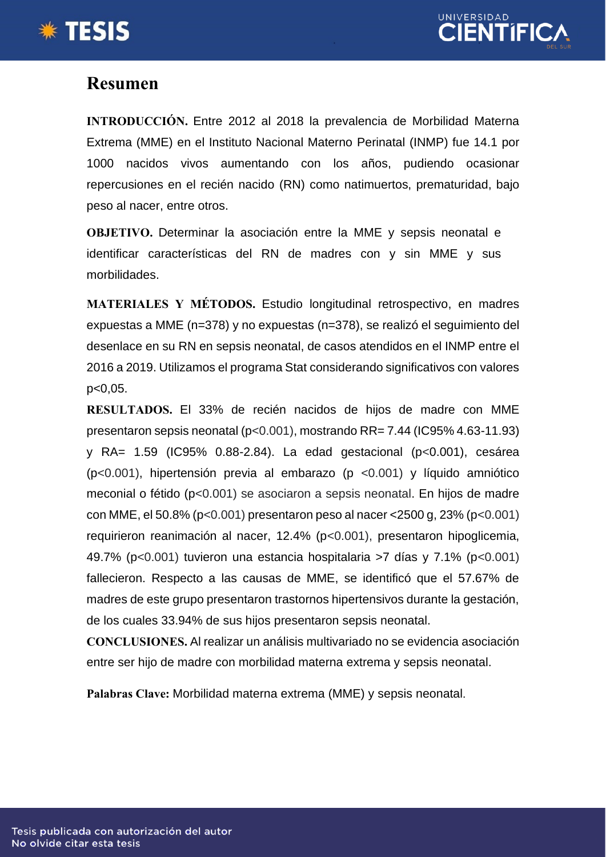



# **Resumen**

**INTRODUCCIÓN.** Entre 2012 al 2018 la prevalencia de Morbilidad Materna Extrema (MME) en el Instituto Nacional Materno Perinatal (INMP) fue 14.1 por 1000 nacidos vivos aumentando con los años, pudiendo ocasionar repercusiones en el recién nacido (RN) como natimuertos, prematuridad, bajo peso al nacer, entre otros.

**OBJETIVO.** Determinar la asociación entre la MME y sepsis neonatal e identificar características del RN de madres con y sin MME y sus morbilidades.

**MATERIALES Y MÉTODOS.** Estudio longitudinal retrospectivo, en madres expuestas a MME (n=378) y no expuestas (n=378), se realizó el seguimiento del desenlace en su RN en sepsis neonatal, de casos atendidos en el INMP entre el 2016 a 2019. Utilizamos el programa Stat considerando significativos con valores p<0,05.

**RESULTADOS.** El 33% de recién nacidos de hijos de madre con MME presentaron sepsis neonatal (p<0.001), mostrando RR= 7.44 (IC95% 4.63-11.93) y RA= 1.59 (IC95% 0.88-2.84). La edad gestacional (p<0.001), cesárea (p<0.001), hipertensión previa al embarazo (p <0.001) y líquido amniótico meconial o fétido (p<0.001) se asociaron a sepsis neonatal. En hijos de madre con MME, el 50.8% (p<0.001) presentaron peso al nacer <2500 g, 23% (p<0.001) requirieron reanimación al nacer, 12.4% (p<0.001), presentaron hipoglicemia, 49.7% (p<0.001) tuvieron una estancia hospitalaria >7 días y 7.1% (p<0.001) fallecieron. Respecto a las causas de MME, se identificó que el 57.67% de madres de este grupo presentaron trastornos hipertensivos durante la gestación, de los cuales 33.94% de sus hijos presentaron sepsis neonatal.

**CONCLUSIONES.** Al realizar un análisis multivariado no se evidencia asociación entre ser hijo de madre con morbilidad materna extrema y sepsis neonatal.

**Palabras Clave:** Morbilidad materna extrema (MME) y sepsis neonatal.